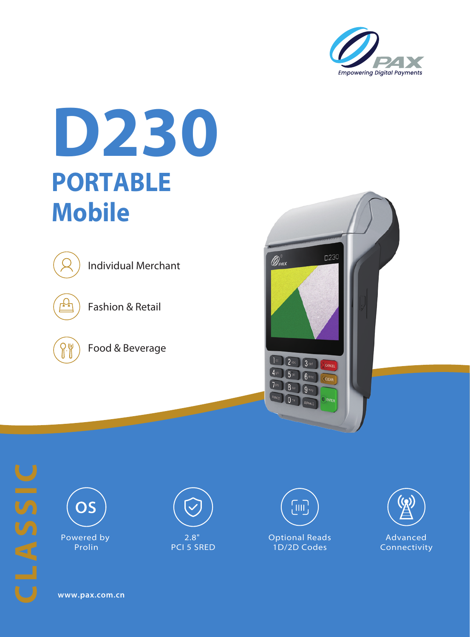

## **D230 PORTABLE Mobile**



Individual Merchant



Fashion & Retail



Food & Beverage







Powered by Prolin



2.8" PCI 5 SRED





**www.pax.com.cn**